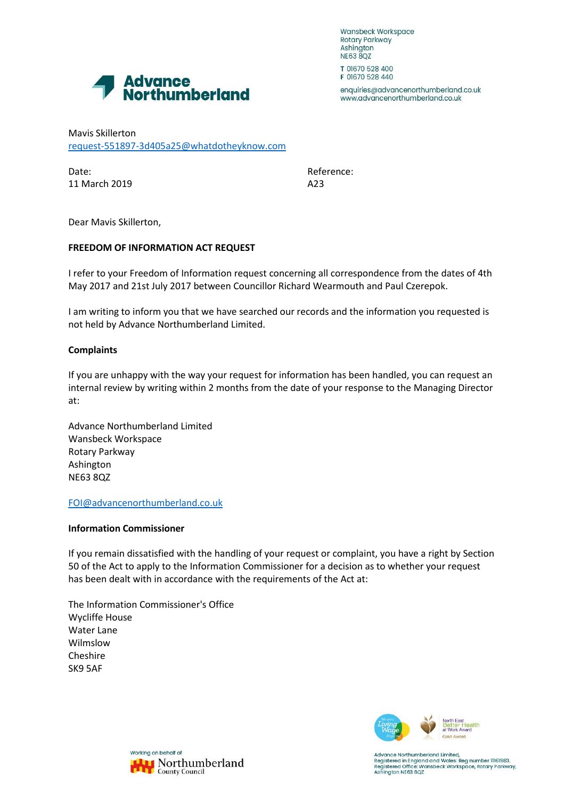Wansbeck Workspace Rotary Parkway Ashington **NE63 8QZ** 



enquiries@advancenorthumberland.co.uk www.advancenorthumberland.co.uk

Advance<br>Northumberland

Mavis Skillerton [request-551897-3d405a25@whatdotheyknow.com](mailto:xxxxxxxxxxxxxxxxxxxxxxx@xxxxxxxxxxxxxx.xxx)

Date: Reference: 11 March 2019 **A23** 

Dear Mavis Skillerton,

## **FREEDOM OF INFORMATION ACT REQUEST**

I refer to your Freedom of Information request concerning all correspondence from the dates of 4th May 2017 and 21st July 2017 between Councillor Richard Wearmouth and Paul Czerepok.

I am writing to inform you that we have searched our records and the information you requested is not held by Advance Northumberland Limited.

## **Complaints**

If you are unhappy with the way your request for information has been handled, you can request an internal review by writing within 2 months from the date of your response to the Managing Director at:

Advance Northumberland Limited Wansbeck Workspace Rotary Parkway Ashington NE63 8QZ

[FOI@advancenorthumberland.co.uk](mailto:xxx@xxxxxxxxxxxxxxxxxxxxx.xx.xx)

## **Information Commissioner**

If you remain dissatisfied with the handling of your request or complaint, you have a right by Section 50 of the Act to apply to the Information Commissioner for a decision as to whether your request has been dealt with in accordance with the requirements of the Act at:

The Information Commissioner's Office Wycliffe House Water Lane Wilmslow Cheshire SK9 5AF



Working on behalf of Northumberland **County Council** 

Advance Northumberland Limited, Registered in England and Wales: Reg number 11161983.<br>Registered in England and Wales: Reg number 11161983.<br>Registered Office: Wansbeck Workspace, Rotary Parkway, Ashington NE63 8QZ